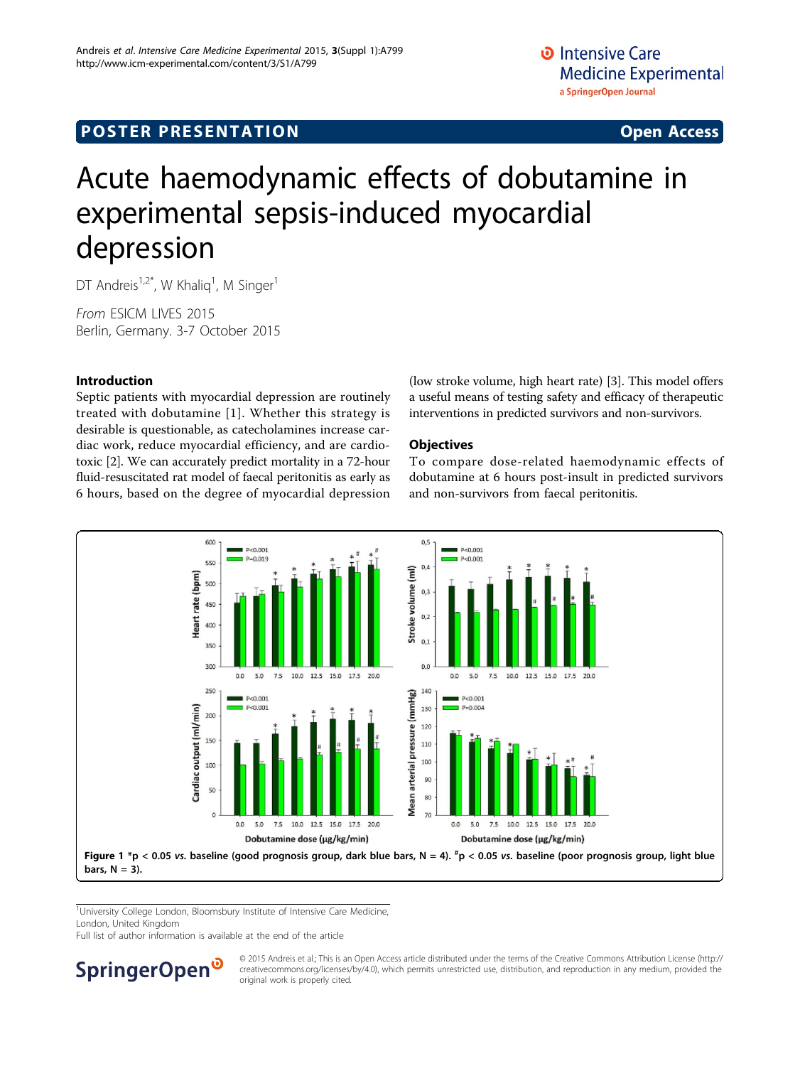# <span id="page-0-0"></span>**POSTER PRESENTATION CONSUMING ACCESS**

# Acute haemodynamic effects of dobutamine in experimental sepsis-induced myocardial depression

DT Andreis<sup>1,2\*</sup>, W Khaliq<sup>1</sup>, M Singer<sup>1</sup>

From ESICM LIVES 2015 Berlin, Germany. 3-7 October 2015

# Introduction

Septic patients with myocardial depression are routinely treated with dobutamine [\[1\]](#page-1-0). Whether this strategy is desirable is questionable, as catecholamines increase cardiac work, reduce myocardial efficiency, and are cardiotoxic [\[2\]](#page-1-0). We can accurately predict mortality in a 72-hour fluid-resuscitated rat model of faecal peritonitis as early as 6 hours, based on the degree of myocardial depression

(low stroke volume, high heart rate) [[3\]](#page-1-0). This model offers a useful means of testing safety and efficacy of therapeutic interventions in predicted survivors and non-survivors.

# **Objectives**

To compare dose-related haemodynamic effects of dobutamine at 6 hours post-insult in predicted survivors and non-survivors from faecal peritonitis.



<sup>1</sup>University College London, Bloomsbury Institute of Intensive Care Medicine, London, United Kingdom

Full list of author information is available at the end of the article



© 2015 Andreis et al.; This is an Open Access article distributed under the terms of the Creative Commons Attribution License [\(http://](http://creativecommons.org/licenses/by/4.0) [creativecommons.org/licenses/by/4.0](http://creativecommons.org/licenses/by/4.0)), which permits unrestricted use, distribution, and reproduction in any medium, provided the original work is properly cited.